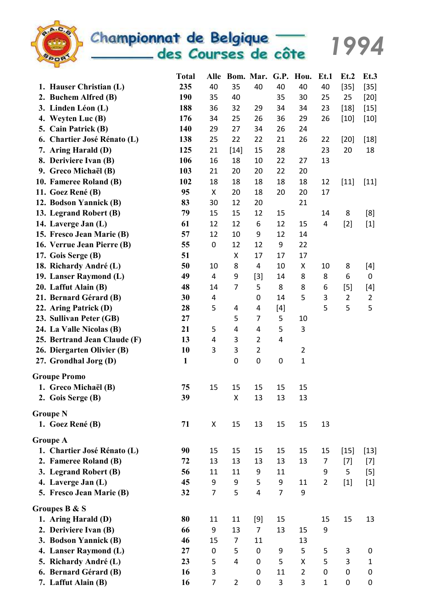

Championnat de Belgique<br>des Courses de côte

1994

|                              | <b>Total</b> | Alle           |                         |                |                | Bom. Mar. G.P. Hou. | Et.1           | Et.2           | Et.3           |
|------------------------------|--------------|----------------|-------------------------|----------------|----------------|---------------------|----------------|----------------|----------------|
| 1. Hauser Christian (L)      | 235          | 40             | 35                      | 40             | 40             | 40                  | 40             | $[35]$         | $[35]$         |
| 2. Buchem Alfred (B)         | 190          | 35             | 40                      |                | 35             | 30                  | 25             | 25             | $[20]$         |
| 3. Linden Léon (L)           | 188          | 36             | 32                      | 29             | 34             | 34                  | 23             | $[18]$         | $[15]$         |
| 4. Weyten Luc (B)            | 176          | 34             | 25                      | 26             | 36             | 29                  | 26             | $[10]$         | $[10]$         |
| 5. Cain Patrick (B)          | 140          | 29             | 27                      | 34             | 26             | 24                  |                |                |                |
| 6. Chartier José Rénato (L)  | 138          | 25             | 22                      | 22             | 21             | 26                  | 22             | $[20]$         | $[18]$         |
| 7. Aring Harald (D)          | 125          | 21             | $[14]$                  | 15             | 28             |                     | 23             | 20             | 18             |
| 8. Deriviere Ivan (B)        | 106          | 16             | 18                      | 10             | 22             | 27                  | 13             |                |                |
| 9. Greco Michaël (B)         | 103          | 21             | 20                      | 20             | 22             | 20                  |                |                |                |
| 10. Fameree Roland (B)       | 102          | 18             | 18                      | 18             | 18             | 18                  | 12             | $[11]$         | $[11]$         |
| 11. Goez René (B)            | 95           | X              | 20                      | 18             | 20             | 20                  | 17             |                |                |
| 12. Bodson Yannick (B)       | 83           | 30             | 12                      | 20             |                | 21                  |                |                |                |
| 13. Legrand Robert (B)       | 79           | 15             | 15                      | 12             | 15             |                     | 14             | 8              | [8]            |
| 14. Laverge Jan (L)          | 61           | 12             | 12                      | 6              | 12             | 15                  | $\overline{4}$ | $[2]$          | $[1]$          |
| 15. Fresco Jean Marie (B)    | 57           | 12             | 10                      | 9              | 12             | 14                  |                |                |                |
| 16. Verrue Jean Pierre (B)   | 55           | $\pmb{0}$      | 12                      | 12             | 9              | 22                  |                |                |                |
| 17. Gois Serge (B)           | 51           |                | X                       | 17             | 17             | 17                  |                |                |                |
| 18. Richardy André (L)       | 50           | 10             | 8                       | 4              | 10             | X                   | 10             | 8              | $[4]$          |
| 19. Lanser Raymond (L)       | 49           | 4              | 9                       | $[3]$          | 14             | 8                   | 8              | 6              | 0              |
| 20. Laffut Alain (B)         | 48           | 14             | $\overline{7}$          | 5              | 8              | 8                   | 6              | $[5]$          | $[4]$          |
| 21. Bernard Gérard (B)       | 30           | 4              |                         | 0              | 14             | 5                   | $\mathbf{3}$   | $\overline{2}$ | $\overline{2}$ |
| 22. Aring Patrick (D)        | 28           | 5              | 4                       | 4              | $[4]$          |                     | 5              | 5              | 5              |
| 23. Sullivan Peter (GB)      | 27           |                | 5                       | $\overline{7}$ | 5              | $10\,$              |                |                |                |
| 24. La Valle Nicolas (B)     | 21           | 5              | $\overline{\mathbf{4}}$ | 4              | 5              | 3                   |                |                |                |
| 25. Bertrand Jean Claude (F) | 13           | 4              | 3                       | $\overline{2}$ | 4              |                     |                |                |                |
| 26. Diergarten Olivier (B)   | 10           | 3              | 3                       | $\overline{2}$ |                | $\overline{2}$      |                |                |                |
| 27. Grondhal Jorg (D)        | $\mathbf{1}$ |                | $\boldsymbol{0}$        | 0              | 0              | $\mathbf 1$         |                |                |                |
| <b>Groupe Promo</b>          |              |                |                         |                |                |                     |                |                |                |
| 1. Greco Michaël (B)         | 75           | 15             | 15                      | 15             | 15             | 15                  |                |                |                |
| 2. Gois Serge (B)            | 39           |                | Χ                       | 13             | 13             | 13                  |                |                |                |
| <b>Groupe N</b>              |              |                |                         |                |                |                     |                |                |                |
| 1. Goez René (B)             | 71           | Χ              | 15                      | 13             | 15             | 15                  | 13             |                |                |
| <b>Groupe A</b>              |              |                |                         |                |                |                     |                |                |                |
| 1. Chartier José Rénato (L)  | 90           | 15             | 15                      | 15             | 15             | 15                  | 15             | $[15]$         | $[13]$         |
| 2. Fameree Roland (B)        | 72           | 13             | 13                      | 13             | 13             | 13                  | 7              | $[7]$          | $[7]$          |
| 3. Legrand Robert (B)        | 56           | 11             | 11                      | 9              | 11             |                     | 9              | 5              | $[5]$          |
| 4. Laverge Jan (L)           | 45           | 9              | 9                       | 5              | 9              | 11                  | $\overline{2}$ | $[1]$          | $[1]$          |
| 5. Fresco Jean Marie (B)     | 32           | $\overline{7}$ | 5                       | 4              | $\overline{7}$ | 9                   |                |                |                |
| Groupes B & S                |              |                |                         |                |                |                     |                |                |                |
| 1. Aring Harald (D)          | 80           | 11             | 11                      | $[9]$          | 15             |                     | 15             | 15             | 13             |
| 2. Deriviere Ivan (B)        | 66           | 9              | 13                      | $\overline{7}$ | 13             | 15                  | 9              |                |                |
| 3. Bodson Yannick (B)        | 46           | 15             | $\overline{7}$          | 11             |                | 13                  |                |                |                |
| 4. Lanser Raymond (L)        | 27           | 0              | 5                       | 0              | 9              | 5                   | 5              | 3              | 0              |
| 5. Richardy André (L)        | 23           | 5              | 4                       | 0              | 5              | X                   | 5              | 3              | 1              |
| 6. Bernard Gérard (B)        | 16           | 3              |                         | 0              | 11             | $\overline{2}$      | 0              | 0              | 0              |
| 7. Laffut Alain (B)          | 16           | $\overline{7}$ | $\overline{2}$          | 0              | 3              | 3                   | $\mathbf{1}$   | 0              | 0              |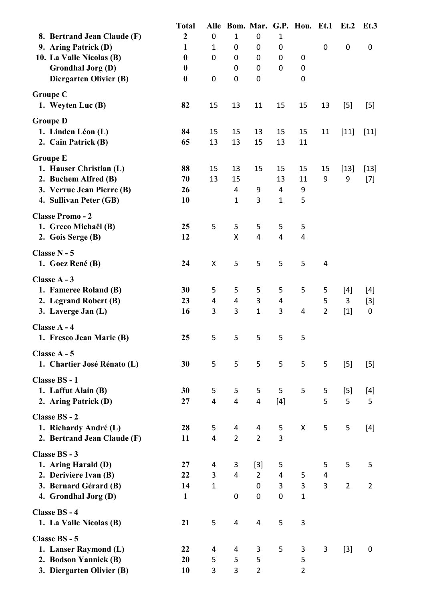|                                                | <b>Total</b>     |                         | Alle Bom. Mar. G.P. Hou. Et.1 |                   |                |                         |                | Et.2           | Et.3           |
|------------------------------------------------|------------------|-------------------------|-------------------------------|-------------------|----------------|-------------------------|----------------|----------------|----------------|
| 8. Bertrand Jean Claude (F)                    | $\boldsymbol{2}$ | $\mathbf 0$             | $\mathbf{1}$                  | 0                 | 1              |                         |                |                |                |
| 9. Aring Patrick (D)                           | $\mathbf{1}$     | $\mathbf{1}$            | 0                             | 0                 | 0              |                         | $\pmb{0}$      | 0              | 0              |
| 10. La Valle Nicolas (B)                       | $\boldsymbol{0}$ | $\mathbf 0$             | 0                             | 0                 | 0              | 0                       |                |                |                |
| <b>Grondhal Jorg (D)</b>                       | $\boldsymbol{0}$ |                         | 0                             | $\mathbf 0$       | 0              | 0                       |                |                |                |
| Diergarten Olivier (B)                         | $\boldsymbol{0}$ | $\pmb{0}$               | 0                             | 0                 |                | 0                       |                |                |                |
| <b>Groupe C</b>                                |                  |                         |                               |                   |                |                         |                |                |                |
| 1. Weyten Luc (B)                              | 82               | 15                      | 13                            | 11                | 15             | 15                      | 13             | $[5]$          | $[5]$          |
| <b>Groupe D</b>                                |                  |                         |                               |                   |                |                         |                |                |                |
| 1. Linden Léon (L)                             | 84               | 15                      | 15                            | 13                | 15             | 15                      | 11             | $[11]$         | $[11]$         |
| 2. Cain Patrick (B)                            | 65               | 13                      | 13                            | 15                | 13             | 11                      |                |                |                |
| <b>Groupe E</b>                                |                  |                         |                               |                   |                |                         |                |                |                |
| 1. Hauser Christian (L)                        | 88               | 15                      | 13                            | 15                | 15             | 15                      | 15             | $[13]$         | $[13]$         |
| 2. Buchem Alfred (B)                           | 70               | 13                      | 15                            |                   | 13             | 11                      | 9              | 9              | $[7]$          |
| 3. Verrue Jean Pierre (B)                      | 26               |                         | 4                             | 9                 | 4              | 9                       |                |                |                |
| 4. Sullivan Peter (GB)                         | 10               |                         | 1                             | 3                 | $\mathbf{1}$   | 5                       |                |                |                |
| <b>Classe Promo - 2</b>                        |                  |                         |                               |                   |                |                         |                |                |                |
| 1. Greco Michaël (B)                           | 25               | 5                       | 5                             | 5                 | 5              | 5                       |                |                |                |
| 2. Gois Serge (B)                              | 12               |                         | X                             | 4                 | 4              | $\overline{\mathbf{4}}$ |                |                |                |
| Classe N - 5                                   |                  |                         |                               |                   |                |                         |                |                |                |
| 1. Goez René (B)                               | 24               | $\pmb{\mathsf{X}}$      | 5                             | 5                 | 5              | 5                       | 4              |                |                |
|                                                |                  |                         |                               |                   |                |                         |                |                |                |
| Classe A - 3                                   |                  |                         |                               |                   |                |                         |                |                |                |
| 1. Fameree Roland (B)                          | 30               | 5                       | 5                             | 5                 | 5              | 5                       | 5              | $[4]$          | $[4]$          |
| 2. Legrand Robert (B)                          | 23               | $\overline{4}$          | $\overline{\mathbf{4}}$       | 3<br>$\mathbf{1}$ | 4              |                         | 5              | 3              | $[3]$          |
| 3. Laverge Jan (L)                             | 16               | 3                       | 3                             |                   | 3              | 4                       | $\overline{2}$ | $[1]$          | 0              |
| Classe A - 4                                   |                  |                         |                               |                   |                |                         |                |                |                |
| 1. Fresco Jean Marie (B)                       | 25               | 5                       | 5                             | 5                 | 5              | 5                       |                |                |                |
| Classe A - 5                                   |                  |                         |                               |                   |                |                         |                |                |                |
| 1. Chartier José Rénato (L)                    | 30               | 5                       | 5                             | 5                 | 5              | 5                       | 5              | $[5]$          | $[5]$          |
| Classe BS - 1                                  |                  |                         |                               |                   |                |                         |                |                |                |
| 1. Laffut Alain (B)                            | 30               | 5                       | 5                             | 5                 | 5              | 5                       | 5              | $[5]$          | $[4]$          |
| 2. Aring Patrick (D)                           | 27               | $\overline{\mathbf{4}}$ | $\overline{\mathbf{4}}$       | 4                 | $[4]$          |                         | 5              | 5              | 5              |
| <b>Classe BS - 2</b>                           |                  |                         |                               |                   |                |                         |                |                |                |
| 1. Richardy André (L)                          | 28               | 5                       | $\overline{a}$                | 4                 | 5              | X                       | 5              | 5              | $[4]$          |
| 2. Bertrand Jean Claude (F)                    | 11               | $\overline{4}$          | $\overline{2}$                | $\overline{2}$    | 3              |                         |                |                |                |
| <b>Classe BS - 3</b>                           |                  |                         |                               |                   |                |                         |                |                |                |
| 1. Aring Harald (D)                            | 27               | 4                       | 3                             | $[3]$             | 5              |                         | 5              | 5              | 5              |
| 2. Deriviere Ivan (B)                          | 22               | 3                       | $\overline{4}$                | $\overline{2}$    | $\overline{4}$ | 5                       | 4              |                |                |
| 3. Bernard Gérard (B)                          | 14               | $\mathbf 1$             |                               | $\boldsymbol{0}$  | 3              | 3                       | 3              | $\overline{2}$ | $\overline{2}$ |
| 4. Grondhal Jorg (D)                           | $\mathbf{1}$     |                         | 0                             | 0                 | $\mathbf 0$    | $\mathbf{1}$            |                |                |                |
| Classe BS - 4                                  |                  |                         |                               |                   |                |                         |                |                |                |
| 1. La Valle Nicolas (B)                        | 21               | 5                       | 4                             | 4                 | 5              | 3                       |                |                |                |
|                                                |                  |                         |                               |                   |                |                         |                |                |                |
| Classe BS - 5                                  |                  |                         |                               |                   |                |                         |                |                |                |
| 1. Lanser Raymond (L)<br>2. Bodson Yannick (B) | 22<br>20         | 4<br>5                  | 4<br>5                        | 3<br>5            | 5              | 3<br>5                  | 3              | $[3]$          | 0              |
| 3. Diergarten Olivier (B)                      | 10               | 3                       | 3                             | $\overline{2}$    |                | $\overline{2}$          |                |                |                |
|                                                |                  |                         |                               |                   |                |                         |                |                |                |